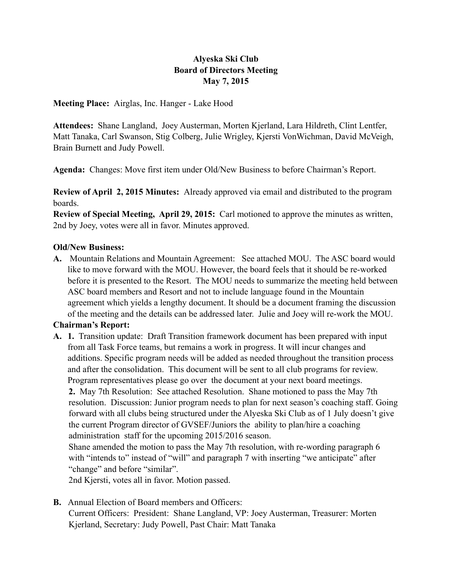# **Alyeska Ski Club Board of Directors Meeting May 7, 2015**

**Meeting Place:** Airglas, Inc. Hanger - Lake Hood

**Attendees:** Shane Langland, Joey Austerman, Morten Kjerland, Lara Hildreth, Clint Lentfer, Matt Tanaka, Carl Swanson, Stig Colberg, Julie Wrigley, Kjersti VonWichman, David McVeigh, Brain Burnett and Judy Powell.

**Agenda:** Changes: Move first item under Old/New Business to before Chairman's Report.

**Review of April 2, 2015 Minutes:** Already approved via email and distributed to the program boards.

**Review of Special Meeting, April 29, 2015:** Carl motioned to approve the minutes as written, 2nd by Joey, votes were all in favor. Minutes approved.

### **Old/New Business:**

**A.** Mountain Relations and Mountain Agreement: See attached MOU. The ASC board would like to move forward with the MOU. However, the board feels that it should be re-worked before it is presented to the Resort. The MOU needs to summarize the meeting held between ASC board members and Resort and not to include language found in the Mountain agreement which yields a lengthy document. It should be a document framing the discussion of the meeting and the details can be addressed later. Julie and Joey will re-work the MOU.

### **Chairman's Report:**

**A. 1.** Transition update: Draft Transition framework document has been prepared with input from all Task Force teams, but remains a work in progress. It will incur changes and additions. Specific program needs will be added as needed throughout the transition process and after the consolidation. This document will be sent to all club programs for review. Program representatives please go over the document at your next board meetings. **2.** May 7th Resolution: See attached Resolution. Shane motioned to pass the May 7th

 resolution. Discussion: Junior program needs to plan for next season's coaching staff. Going forward with all clubs being structured under the Alyeska Ski Club as of 1 July doesn't give the current Program director of GVSEF/Juniors the ability to plan/hire a coaching administration staff for the upcoming 2015/2016 season.

 Shane amended the motion to pass the May 7th resolution, with re-wording paragraph 6 with "intends to" instead of "will" and paragraph 7 with inserting "we anticipate" after "change" and before "similar".

2nd Kjersti, votes all in favor. Motion passed.

**B.** Annual Election of Board members and Officers: Current Officers: President: Shane Langland, VP: Joey Austerman, Treasurer: Morten Kjerland, Secretary: Judy Powell, Past Chair: Matt Tanaka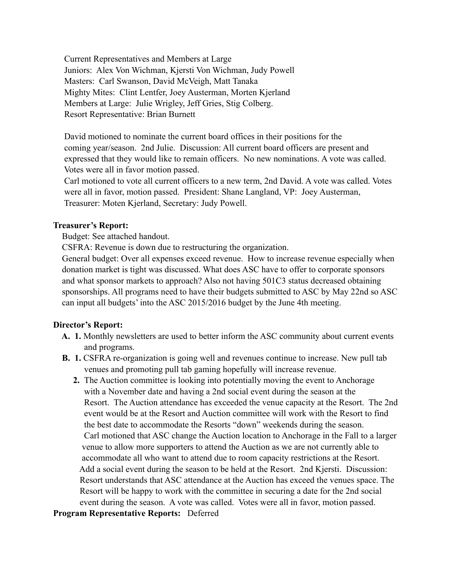Current Representatives and Members at Large Juniors: Alex Von Wichman, Kjersti Von Wichman, Judy Powell Masters: Carl Swanson, David McVeigh, Matt Tanaka Mighty Mites: Clint Lentfer, Joey Austerman, Morten Kjerland Members at Large: Julie Wrigley, Jeff Gries, Stig Colberg. Resort Representative: Brian Burnett

 David motioned to nominate the current board offices in their positions for the coming year/season. 2nd Julie. Discussion: All current board officers are present and expressed that they would like to remain officers. No new nominations. A vote was called. Votes were all in favor motion passed.

 Carl motioned to vote all current officers to a new term, 2nd David. A vote was called. Votes were all in favor, motion passed. President: Shane Langland, VP: Joey Austerman, Treasurer: Moten Kjerland, Secretary: Judy Powell.

#### **Treasurer's Report:**

Budget: See attached handout.

CSFRA: Revenue is down due to restructuring the organization.

 General budget: Over all expenses exceed revenue. How to increase revenue especially when donation market is tight was discussed. What does ASC have to offer to corporate sponsors and what sponsor markets to approach? Also not having 501C3 status decreased obtaining sponsorships. All programs need to have their budgets submitted to ASC by May 22nd so ASC can input all budgets' into the ASC 2015/2016 budget by the June 4th meeting.

#### **Director's Report:**

- **A. 1.** Monthly newsletters are used to better inform the ASC community about current events and programs.
- **B.** 1. CSFRA re-organization is going well and revenues continue to increase. New pull tab venues and promoting pull tab gaming hopefully will increase revenue.
	- **2.** The Auction committee is looking into potentially moving the event to Anchorage with a November date and having a 2nd social event during the season at the Resort. The Auction attendance has exceeded the venue capacity at the Resort. The 2nd event would be at the Resort and Auction committee will work with the Resort to find the best date to accommodate the Resorts "down" weekends during the season. Carl motioned that ASC change the Auction location to Anchorage in the Fall to a larger venue to allow more supporters to attend the Auction as we are not currently able to accommodate all who want to attend due to room capacity restrictions at the Resort. Add a social event during the season to be held at the Resort. 2nd Kjersti. Discussion: Resort understands that ASC attendance at the Auction has exceed the venues space. The Resort will be happy to work with the committee in securing a date for the 2nd social event during the season. A vote was called. Votes were all in favor, motion passed.

#### **Program Representative Reports:** Deferred